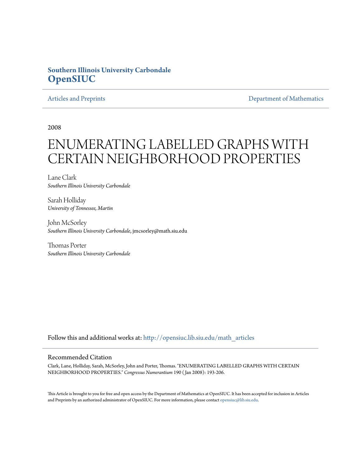## **Southern Illinois University Carbondale [OpenSIUC](http://opensiuc.lib.siu.edu?utm_source=opensiuc.lib.siu.edu%2Fmath_articles%2F119&utm_medium=PDF&utm_campaign=PDFCoverPages)**

[Articles and Preprints](http://opensiuc.lib.siu.edu/math_articles?utm_source=opensiuc.lib.siu.edu%2Fmath_articles%2F119&utm_medium=PDF&utm_campaign=PDFCoverPages) **[Department of Mathematics](http://opensiuc.lib.siu.edu/math?utm_source=opensiuc.lib.siu.edu%2Fmath_articles%2F119&utm_medium=PDF&utm_campaign=PDFCoverPages)** Department of Mathematics

2008

# ENUMERATING LABELLED GRAPHS WITH CERTAIN NEIGHBORHOOD PROPERTIES

Lane Clark *Southern Illinois University Carbondale*

Sarah Holliday *University of Tennessee, Martin*

John McSorley *Southern Illinois University Carbondale*, jmcsorley@math.siu.edu

Thomas Porter *Southern Illinois University Carbondale*

Follow this and additional works at: [http://opensiuc.lib.siu.edu/math\\_articles](http://opensiuc.lib.siu.edu/math_articles?utm_source=opensiuc.lib.siu.edu%2Fmath_articles%2F119&utm_medium=PDF&utm_campaign=PDFCoverPages)

#### Recommended Citation

Clark, Lane, Holliday, Sarah, McSorley, John and Porter, Thomas. "ENUMERATING LABELLED GRAPHS WITH CERTAIN NEIGHBORHOOD PROPERTIES." *Congressus Numerantium* 190 ( Jan 2008): 193-206.

This Article is brought to you for free and open access by the Department of Mathematics at OpenSIUC. It has been accepted for inclusion in Articles and Preprints by an authorized administrator of OpenSIUC. For more information, please contact [opensiuc@lib.siu.edu](mailto:opensiuc@lib.siu.edu).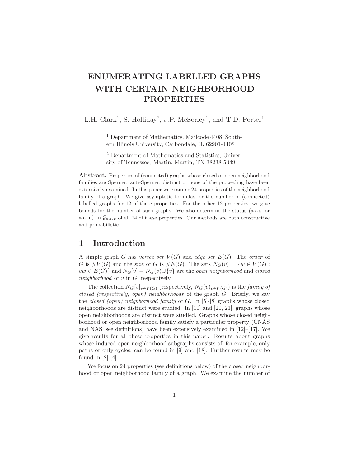# **ENUMERATING LABELLED GRAPHS WITH CERTAIN NEIGHBORHOOD PROPERTIES**

L.H. Clark<sup>1</sup>, S. Holliday<sup>2</sup>, J.P. McSorley<sup>1</sup>, and T.D. Porter<sup>1</sup>

<sup>1</sup> Department of Mathematics, Mailcode 4408, Southern Illinois University, Carbondale, IL 62901-4408

<sup>2</sup> Department of Mathematics and Statistics, University of Tennessee, Martin, Martin, TN 38238-5049

**Abstract.** Properties of (connected) graphs whose closed or open neighborhood families are Sperner, anti-Sperner, distinct or none of the proceeding have been extensively examined. In this paper we examine 24 properties of the neighborhood family of a graph. We give asymptotic formulas for the number of (connected) labelled graphs for 12 of these properties. For the other 12 properties, we give bounds for the number of such graphs. We also determine the status (a.a.s. or a.a.n.) in  $\mathcal{G}_{n,1/2}$  of all 24 of these properties. Our methods are both constructive and probabilistic.

#### **1 Introduction**

A simple graph *G* has *vertex set*  $V(G)$  and *edge set*  $E(G)$ . The *order* of *G* is  $\#V(G)$  and the *size* of *G* is  $\#E(G)$ . The sets  $N_G(v) = \{w \in V(G) :$ *vw* ∈  $E(G)$ } and  $N_G[v] = N_G(v) \cup \{v\}$  are the *open neighborhood* and *closed neighborhood* of *v* in *G*, respectively.

The collection  $N_G[v]_{v \in V(G)}$  (respectively,  $N_G(v)_{v \in V(G)}$ ) is the *family of closed (respectively, open) neighborhoods* of the graph *G*. Briefly, we say the *closed (open) neighborhood family* of *G*. In [5]-[8] graphs whose closed neighborhoods are distinct were studied. In [10] and [20, 21], graphs whose open neighborhoods are distinct were studied. Graphs whose closed neighborhood or open neighborhood family satisfy a particular property (CNAS and NAS; see definitions) have been extensively examined in  $[12]$ – $[17]$ . We give results for all these properties in this paper. Results about graphs whose induced open neighborhood subgraphs consists of, for example, only paths or only cycles, can be found in [9] and [18]. Further results may be found in  $[2]-[4]$ .

We focus on 24 properties (see definitions below) of the closed neighborhood or open neighborhood family of a graph. We examine the number of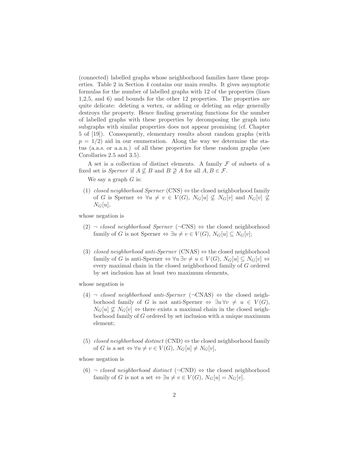(connected) labelled graphs whose neighborhood families have these properties. Table 2 in Section 4 contains our main results. It gives asymptotic formulas for the number of labelled graphs with 12 of the properties (lines 1,2,5, and 6) and bounds for the other 12 properties. The properties are quite delicate: deleting a vertex, or adding or deleting an edge generally destroys the property. Hence finding generating functions for the number of labelled graphs with these properties by decomposing the graph into subgraphs with similar properties does not appear promising (cf. Chapter 5 of [19]). Consequently, elementary results about random graphs (with  $p = 1/2$  aid in our enumeration. Along the way we determine the status (a.a.s. or a.a.n.) of all these properties for these random graphs (see Corollaries 2.5 and 3.5).

A set is a collection of distinct elements. A family *F* of subsets of a fixed set is *Sperner* if  $A \not\subseteq B$  and  $B \not\supseteq A$  for all  $A, B \in \mathcal{F}$ .

We say a graph *G* is:

(1) *closed neighborhood Sperner* (CNS) *⇔* the closed neighborhood family of *G* is Sperner  $\Leftrightarrow \forall u \neq v \in V(G), N_G[u] \not\subseteq N_G[v]$  and  $N_G[v] \not\subseteq$  $N_G[u],$ 

whose negation is

- (2) *¬ closed neighborhood Sperner* (*¬*CNS) *⇔* the closed neighborhood family of *G* is not Sperner  $\Leftrightarrow \exists u \neq v \in V(G), N_G[u] \subseteq N_G[v];$
- (3) *closed neighborhood anti-Sperner* (CNAS) *⇔* the closed neighborhood family of *G* is anti-Sperner  $\Leftrightarrow \forall u \exists v \neq u \in V(G)$ ,  $N_G[u] \subseteq N_G[v] \Leftrightarrow$ every maximal chain in the closed neighborhood family of *G* ordered by set inclusion has at least two maximum elements,

whose negation is

- (4) *¬ closed neighborhood anti-Sperner* (*¬*CNAS) *⇔* the closed neighborhood family of *G* is not anti-Sperner  $\Leftrightarrow$   $\exists u \forall v \neq u \in V(G)$ ,  $N_G[u] \nsubseteq N_G[v] \Leftrightarrow$  there exists a maximal chain in the closed neighborhood family of *G* ordered by set inclusion with a unique maximum element;
- (5) *closed neighborhood distinct* (CND)  $\Leftrightarrow$  the closed neighborhood family of *G* is a set  $\Leftrightarrow \forall u \neq v \in V(G), N_G[u] \neq N_G[v],$

whose negation is

(6) *¬ closed neighborhood distinct* (*¬*CND) *⇔* the closed neighborhood family of *G* is not a set  $\Leftrightarrow \exists u \neq v \in V(G), N_G[u] = N_G[v].$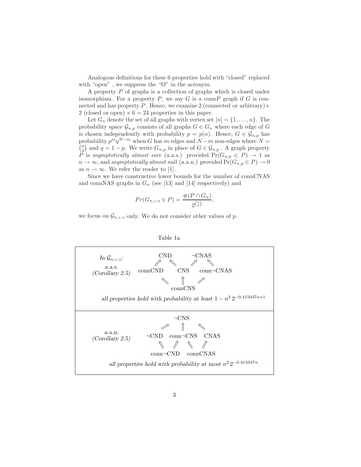Analogous definitions for these 6 properties hold with "closed" replaced with "open", we suppress the "O" in the acronym.

A property *P* of graphs is a collection of graphs which is closed under isomorphism. For a property  $P$ , we say  $G$  is a conn $P$  graph if  $G$  is connected and has property *P*. Hence, we examine 2 (connected or arbitrary)*×* 2 (closed or open)  $\times$  6 = 24 properties in this paper.

Let  $G_n$  denote the set of all graphs with vertex set  $[n] = \{1, \ldots, n\}$ . The probability space  $\mathcal{G}_{n,p}$  consists of all graphs  $G \in \mathcal{G}_n$  where each edge of *G* is chosen independently with probability  $p = p(n)$ . Hence,  $G \in \mathcal{G}_{n,p}$  has probability  $p^m q^{N-m}$  when *G* has *m* edges and  $N-m$  non-edges where  $N = \binom{n}{k}$  and  $q = 1 - n$ . We write  $C_{n}$  in place of  $C \subset C_{n}$ ,  $\Lambda$  graph property  $\binom{n}{2}$  and  $q = 1 - p$ . We write  $G_{n,p}$  in place of  $G \in \mathcal{G}_{n,p}$ . A graph property *P* is *asymptotically almost sure* (a.a.s.) provided  $Pr(G_{n,p} \in P) \rightarrow 1$  as  $n \to \infty$ , and *asymptotically almost null* (a.a.n.) provided  $Pr(G_{n,p} \in P) \to 0$ as  $n \to \infty$ . We refer the reader to [1].

Since we have constructive lower bounds for the number of connCNAS and connNAS graphs in  $G_n$  (see [13] and [14] respectively) and

$$
Pr(G_{n,1/2} \in P) = \frac{\#(P \cap G_n)}{2^{\binom{n}{2}}},
$$

we focus on  $\mathcal{G}_{n,1/2}$  only. We do not consider other values of p.



Table 1a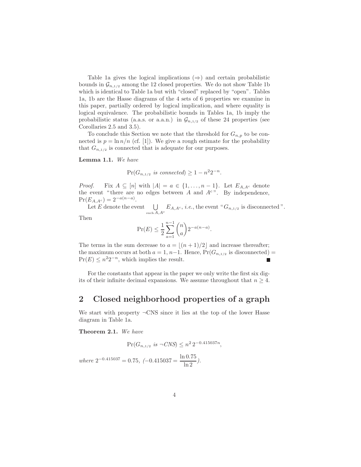Table 1a gives the logical implications (*⇒*) and certain probabilistic bounds in  $\mathcal{G}_{n,1/2}$  among the 12 closed properties. We do not show Table 1b which is identical to Table 1a but with "closed" replaced by "open". Tables 1a, 1b are the Hasse diagrams of the 4 sets of 6 properties we examine in this paper, partially ordered by logical implication, and where equality is logical equivalence. The probabilistic bounds in Tables 1a, 1b imply the probabilistic status (a.a.s. or a.a.n.) in  $\mathcal{G}_{n,1/2}$  of these 24 properties (see Corollaries 2.5 and 3.5).

To conclude this Section we note that the threshold for  $G_{n,p}$  to be connected is  $p = \ln n/n$  (cf. [1]). We give a rough estimate for the probability that  $G_{n,1/2}$  is connected that is adequate for our purposes.

**Lemma 1.1.** *We have*

$$
\Pr(G_{n,1/2} \text{ is connected}) \ge 1 - n^2 2^{-n}.
$$

*Proof.* Fix  $A \subseteq [n]$  with  $|A| = a \in \{1, \ldots, n-1\}$ . Let  $E_{A, A^c}$  denote the event "there are no edges between  $A$  and  $A<sup>c</sup>$ ". By independence,  $Pr(E_{A, A^c}) = 2^{-a(n-a)}$ .

Let  $E$  denote the event  $\bigcup$  $\bigcup_{\text{such }A,A^c}E_{A,A^c},$  *i.e.*, the event " $G_{n,1/2}$  is disconnected".

Then

$$
\Pr(E) \le \frac{1}{2} \sum_{a=1}^{n-1} {n \choose a} 2^{-a(n-a)}.
$$

The terms in the sum decrease to  $a = \frac{(n+1)}{2}$  and increase thereafter; the maximum occurs at both  $a = 1, n-1$ . Hence,  $Pr(G_{n,1/2}$  is disconnected) =  $Pr(E) \leq n^2 2^{-n}$ , which implies the result. П

For the constants that appear in the paper we only write the first six digits of their infinite decimal expansions. We assume throughout that  $n \geq 4$ .

#### **2 Closed neighborhood properties of a graph**

We start with property *¬*CNS since it lies at the top of the lower Hasse diagram in Table 1a.

**Theorem 2.1.** *We have*

$$
\Pr(G_{n,1/2} \text{ is } \neg CNS) \le n^2 \, 2^{-0.415037n},
$$

 $where \ 2^{-0.415037} = 0.75, \ (-0.415037 = \frac{\ln 0.75}{\ln 2}).$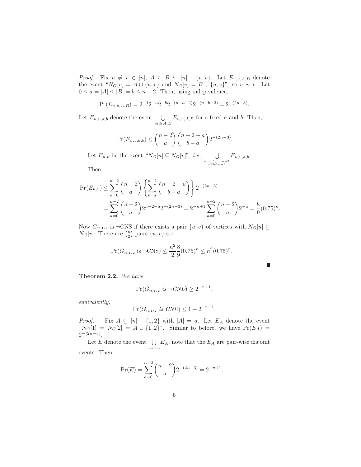*Proof.* Fix  $u \neq v \in [n], A \subseteq B \subseteq [n] - \{u, v\}$ . Let  $E_{u,v,A,B}$  denote the event " $N_G[u] = A \cup \{u, v\}$  and  $N_G[v] = B \cup \{u, v\}$ ", so  $u \sim v$ . Let  $0 \le a = |A| \le |B| = b \le n - 2$ . Then, using independence,

$$
Pr(E_{u,v,A,B}) = 2^{-1}2^{-a}2^{-b}2^{-(n-a-2)}2^{-(n-b-2)} = 2^{-(2n-3)}.
$$

Let  $E_{u,v,a,b}$  denote the event  $\bigcup_{\text{such }A,B} E_{u,v,A,B}$  for a fixed *a* and *b*. Then,

$$
\Pr(E_{u,v,a,b}) \le \binom{n-2}{a} \binom{n-2-a}{b-a} 2^{-(2n-3)}.
$$

Let  $E_{u,v}$  be the event " $N_G[u] \subseteq N_G[v]$ ", *i.e.*,  $\bigcup_{\substack{a=0,1,...,n-2 \\ a \le b \le n-2}}$ *Eu,v,a,b*.

Then,

$$
\Pr(E_{u,v}) \le \sum_{a=0}^{n-2} \binom{n-2}{a} \left\{ \sum_{b=a}^{n-2} \binom{n-2-a}{b-a} \right\} 2^{-(2n-3)} \n= \sum_{a=0}^{n-2} \binom{n-2}{a} 2^{n-2-a} 2^{-(2n-3)} = 2^{-n+1} \sum_{a=0}^{n-2} \binom{n-2}{a} 2^{-a} = \frac{8}{9} (0.75)^n.
$$

Now  $G_{n,1/2}$  is  $\neg$ CNS if there exists a pair  $\{u, v\}$  of vertices with  $N_G[u] \subseteq$  $N_G[v]$ . There are  $\binom{n}{2}$  pairs  $\{u, v\}$  so:

$$
\Pr(G_{n,1/2} \text{ is } \neg \text{CNS}) \le \frac{n^2}{2} \frac{8}{9} (0.75)^n \le n^2 (0.75)^n.
$$

п

**Theorem 2.2.** *We have*

$$
\Pr(G_{n, 1/2} \text{ is } \neg CND) \ge 2^{-n+1},
$$

*equivalently,*

$$
\Pr(G_{n,1/2} \text{ is } CMD) \le 1 - 2^{-n+1}.
$$

*Proof.* Fix  $A \subseteq [n] - \{1, 2\}$  with  $|A| = a$ . Let  $E_A$  denote the event " $N_G[1] = N_G[2] = A \cup \{1, 2\}$ ". Similar to before, we have  $Pr(E_A) =$ 2*<sup>−</sup>*(2*n−*3).

Let  $E$  denote the event  $\bigcup$  $\bigcup_{\text{such }A} E_A$ ; note that the  $E_A$  are pair-wise disjoint events. Then

$$
\Pr(E) = \sum_{a=0}^{n-2} {n-2 \choose a} 2^{-(2n-3)} = 2^{-n+1}.
$$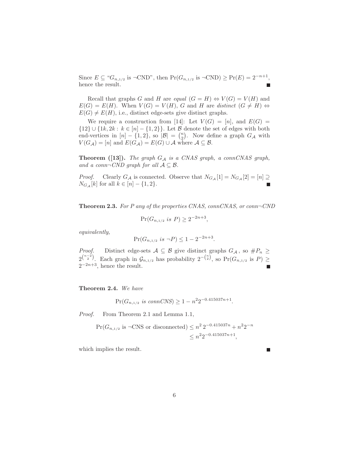Since *E* ⊆ " $G_{n,1/2}$  is ¬CND", then  $Pr(G_{n,1/2}$  is  $\neg$ CND)  $\geq Pr(E) = 2^{-n+1}$ , hence the result.

Recall that graphs *G* and *H* are *equal*  $(G = H) \Leftrightarrow V(G) = V(H)$  and  $E(G) = E(H)$ . When  $V(G) = V(H)$ , *G* and *H* are *distinct*  $(G \neq H) \Leftrightarrow$  $E(G) \neq E(H)$ , i.e., distinct edge-sets give distinct graphs.

We require a construction from [14]: Let  $V(G)=[n]$ , and  $E(G)$ *{*12*}∪{*1*k,* 2*k* : *k ∈* [*n*] *− {*1*,* 2*}}*. Let *B* denote the set of edges with both end-vertices in  $[n] - \{1, 2\}$ , so  $|B| = {n \choose 2}$ . Now define a graph  $G_A$  with  $V(G_A) = [n]$  and  $E(G_A) = E(G) \cup A$  where  $A \subseteq B$ .

**Theorem ([13]).** *The graph G<sup>A</sup> is a CNAS graph, a connCNAS graph, and a conn* $\neg$ *CND graph for all*  $\mathcal{A} \subseteq \mathcal{B}$ *.* 

*Proof.* Clearly  $G_A$  is connected. Observe that  $N_{G_A}[1] = N_{G_A}[2] = [n] \supseteq$ *N*<sup>*G*</sup><sub>*A*</sub> [*k*] for all *k* ∈ [*n*] − {1*,* 2}.  $\blacksquare$ 

**Theorem 2.3.** *For P any of the properties CNAS, connCNAS, or conn¬CND*

$$
\Pr(G_{n,1/2} \text{ is } P) \ge 2^{-2n+3},
$$

*equivalently,*

$$
\Pr(G_{n,1/2} \text{ is } \neg P) \le 1 - 2^{-2n+3}.
$$

*Proof.* Distinct edge-sets  $A \subseteq B$  give distinct graphs  $G_A$ , so  $\#P_n \geq$  $2^{n-2 \choose 2}$ . Each graph in  $\mathcal{G}_{n,1/2}$  has probability  $2^{-n \choose 2}$ , so Pr( $G_{n,1/2}$  is P) ≥ 2*<sup>−</sup>*2*n*+3, hence the result.

**Theorem 2.4.** *We have*

$$
\Pr(G_{n,1/2} \text{ is connCNS}) \ge 1 - n^2 2^{-0.415037n + 1}.
$$

*Proof.* From Theorem 2.1 and Lemma 1.1,

$$
\Pr(G_{n,1/2} \text{ is } \neg \text{CNS or disconnected}) \le n^2 \, 2^{-0.415037n} + n^2 2^{-n}
$$

$$
\le n^2 2^{-0.415037n + 1},
$$

which implies the result.

г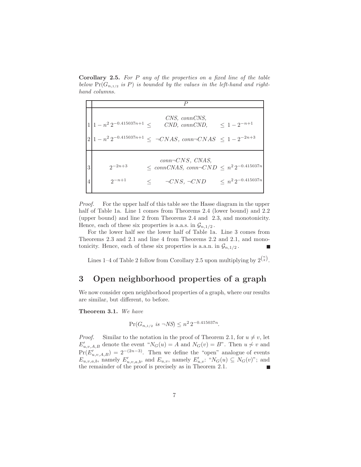**Corollary 2.5.** *For P any of the properties on a fixed line of the table below*  $Pr(G_{n,1/2} \text{ is } P)$  *is bounded by the values in the left-hand and righthand columns.*

|   | $1 1-n^2 2^{-0.415037n+1}$ < | CNS, connCNS,<br>$CND$ , $conn CND$ ,                                                                    | $\leq 1-2^{-n+1}$            |
|---|------------------------------|----------------------------------------------------------------------------------------------------------|------------------------------|
|   |                              | $2 1-n^2 2^{-0.415037n+1} \leq \neg CNAS$ , conn $\neg CNAS \leq 1-2^{-2n+3}$                            |                              |
| 3 | $2^{-2n+3}$<br>$2^{-n+1}$    | $conn\neg CNS, CNAS,$<br>$\leq~connCNAS,~conn \neg CND~\leq~n^2\,2^{-0.415037n}$<br>$\neg CNS, \neg CND$ | $\langle n^2 2^{-0.415037n}$ |

*Proof.* For the upper half of this table see the Hasse diagram in the upper half of Table 1a. Line 1 comes from Theorems 2.4 (lower bound) and 2.2 (upper bound) and line 2 from Theorems 2.4 and 2.3, and monotonicity. Hence, each of these six properties is a.a.s. in  $\mathcal{G}_{n,1/2}$ .

For the lower half see the lower half of Table 1a. Line 3 comes from Theorems 2.3 and 2.1 and line 4 from Theorems 2.2 and 2.1, and monotonicity. Hence, each of these six properties is a.a.n. in  $\mathcal{G}_{n,1/2}$ .

Lines 1–4 of Table 2 follow from Corollary 2.5 upon multiplying by  $2^{n \choose 2}$ .

### **3 Open neighborhood properties of a graph**

We now consider open neighborhood properties of a graph, where our results are similar, but different, to before.

**Theorem 3.1.** *We have*

$$
\Pr(G_{n,1/2} \text{ is } \neg NS) \le n^2 \, 2^{-0.415037n}.
$$

*Proof.* Similar to the notation in the proof of Theorem 2.1, for  $u \neq v$ , let  $E'_{u,v,A,B}$  denote the event " $N_G(u) = A$  and  $N_G(v) = B$ ". Then  $u \not\sim v$  and  $Pr(E'_{u,v,A,B})=2^{-(2n-3)}$ . Then we define the "open" analogue of events  $E_{u,v,a,b}$ , namely  $E'_{u,v,a,b}$ , and  $E_{u,v}$ , namely  $E'_{u,v}$ : " $N_G(u) \subseteq N_G(v)$ "; and the remainder of the proof is precisely as in Theorem 2.1.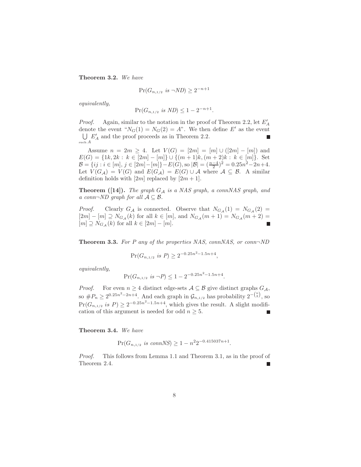**Theorem 3.2.** *We have*

$$
\Pr(G_{n,1/2} \text{ is } \neg ND) \ge 2^{-n+1}
$$

*equivalently,*

$$
\Pr(G_{n,1/2} \text{ is } ND) \le 1 - 2^{-n+1}.
$$

*Proof.* Again, similar to the notation in the proof of Theorem 2.2, let  $E'_A$ denote the event " $N_G(1) = N_G(2) = A$ ". We then define *E'* as the event  $\bigcup E'_A$  and the proof proceeds as in Theorem 2.2. г such *A*

Assume  $n = 2m \geq 4$ . Let  $V(G) = [2m] = [m] \cup ([2m] - [m])$  and *E*(*G*) = {1*k*, 2*k* : *k* ∈ [2*m*] − [*m*]}∪{ $(m + 1)k$ ,  $(m + 2)k$  :  $k \in [m]$ }. Set  $B = \{ ij : i \in [m], j \in [2m] - [m] \} - E(G)$ , so  $|B| = \left(\frac{n-4}{2}\right)^2 = 0.25n^2 - 2n + 4$ . Let  $V(G_A) = V(G)$  and  $E(G_A) = E(G) \cup A$  where  $A \subseteq B$ . A similar definition holds with  $[2m]$  replaced by  $[2m+1]$ .

**Theorem ([14]).** *The graph G<sup>A</sup> is a NAS graph, a connNAS graph, and a* conn $\neg$ *ND* graph for all  $\mathcal{A} \subseteq \mathcal{B}$ *.* 

*Proof.* Clearly  $G_A$  is connected. Observe that  $N_{G_A}(1) = N_{G_A}(2)$ [2*m*] − [*m*]  $\supseteq$   $N_{G_{\mathcal{A}}}(k)$  for all  $k \in [m]$ , and  $N_{G_{\mathcal{A}}}(m+1) = N_{G_{\mathcal{A}}}(m+2) =$  $[m] \supseteq N_{G_{\mathcal{A}}}(k)$  for all  $k \in [2m] - [m]$ .  $\mathbf{L}$ 

**Theorem 3.3.** *For P any of the properties NAS, connNAS, or conn¬ND*

$$
\Pr(G_{n,1/2} \text{ is } P) \ge 2^{-0.25n^2 - 1.5n + 4},
$$

*equivalently,*

$$
\Pr(G_{n,1/2} \text{ is } \neg P) \le 1 - 2^{-0.25n^2 - 1.5n + 4}.
$$

*Proof.* For even  $n \geq 4$  distinct edge-sets  $A \subseteq B$  give distinct graphs  $G_A$ , so  $\#P_n \geq 2^{0.25n^2 - 2n + 4}$ . And each graph in  $\mathcal{G}_{n,1/2}$  has probability  $2^{-\binom{n}{2}}$ , so  $Pr(G_{n,1/2} \text{ is } P) \geq 2^{-0.25n^2 - 1.5n + 4}$ , which gives the result. A slight modification of this argument is needed for odd  $n \geq 5$ .

**Theorem 3.4.** *We have*

$$
\Pr(G_{n,1/2} \text{ is connNS}) \ge 1 - n^2 2^{-0.415037n + 1}.
$$

*Proof.* This follows from Lemma 1.1 and Theorem 3.1, as in the proof of Theorem 2.4.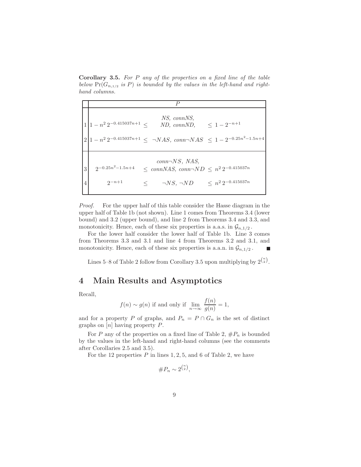**Corollary 3.5.** *For P any of the properties on a fixed line of the table below*  $Pr(G_{n,1/2} \text{ is } P)$  *is bounded by the values in the left-hand and righthand columns.*

|   |                                                                                                                                        | P                                                                                                               |                              |
|---|----------------------------------------------------------------------------------------------------------------------------------------|-----------------------------------------------------------------------------------------------------------------|------------------------------|
|   | $\left(1-n^2\,2^{-0.415037n+1}\right)<$<br>$ 2 1-n^2 2^{-0.415037n+1} \leq \neg NAS, \text{ conn} \neg NAS \leq 1-2^{-0.25n^2-1.5n+4}$ | NS. connNS.<br>ND, connND, $\leq 1 - 2^{-n+1}$                                                                  |                              |
| 3 | $2^{-0.25n^2-1.5n+4}$<br>$2^{-n+1}$                                                                                                    | $conn\neg NS, NAS,$<br>$\leq$ connNAS, conn $\neg ND \leq n^2 2^{-0.415037n}$<br>$\leq \qquad \neg NS, \neg ND$ | $\langle n^2 2^{-0.415037n}$ |

*Proof.* For the upper half of this table consider the Hasse diagram in the upper half of Table 1b (not shown). Line 1 comes from Theorems 3.4 (lower bound) and 3.2 (upper bound), and line 2 from Theorems 3.4 and 3.3, and monotonicity. Hence, each of these six properties is a.a.s. in  $\mathcal{G}_{n,1/2}$ .

For the lower half consider the lower half of Table 1b. Line 3 comes from Theorems 3.3 and 3.1 and line 4 from Theorems 3.2 and 3.1, and monotonicity. Hence, each of these six properties is a.a.n. in  $\mathcal{G}_{n,1/2}$ .  $\mathbf{L}$ 

Lines 5–8 of Table 2 follow from Corollary 3.5 upon multiplying by  $2^{n \choose 2}$ .

#### **4 Main Results and Asymptotics**

Recall,

$$
f(n) \sim g(n)
$$
 if and only if  $\lim_{n \to \infty} \frac{f(n)}{g(n)} = 1$ ,

and for a property *P* of graphs, and  $P_n = P \cap G_n$  is the set of distinct graphs on [*n*] having property *P*.

For *P* any of the properties on a fixed line of Table 2,  $\#P_n$  is bounded by the values in the left-hand and right-hand columns (see the comments after Corollaries 2.5 and 3.5).

For the 12 properties  $P$  in lines 1, 2, 5, and 6 of Table 2, we have

$$
\#P_n \sim 2^{\binom{n}{2}},
$$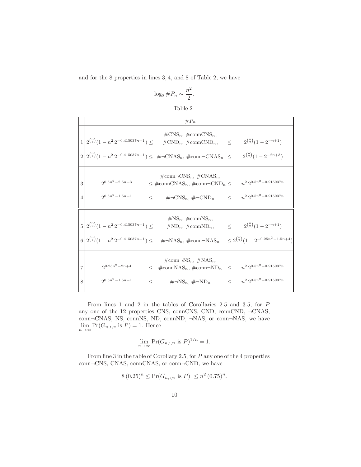and for the 8 properties in lines 3*,* 4, and 8 of Table 2, we have

$$
\log_2 \#P_n \sim \frac{n^2}{2}.
$$

Table 2

|                     | $#P_n$                                                                                                                                                                                                                                                                    |         |                                                                                       |
|---------------------|---------------------------------------------------------------------------------------------------------------------------------------------------------------------------------------------------------------------------------------------------------------------------|---------|---------------------------------------------------------------------------------------|
|                     | $\#\text{CNS}_n$ , $\#\text{connCNS}_n$ ,<br>$1\left(2^{n\choose 2}\left(1-n^2\,2^{-0.415037n+1}\right)\right)\leq$<br>$\#\text{CND}_n$ , $\#\text{connCND}_n$ ,<br>$2\left(2^{n\choose 2}(1-n^2 2^{-0.415037n+1})\right)\leq \#~\neg CNAS_n$ , #conn $~\neg CNAS_n \leq$ | $\prec$ | $2^{n \choose 2}(1-2^{-n+1})$<br>$2^{\binom{n}{2}}(1-2^{-2n+3})$                      |
| 3<br>$\overline{4}$ | $\#\text{conn} \neg \text{CNS}_n, \#\text{CNAS}_n,$<br>$2^{0.5n^2 - 2.5n + 3}$<br>$\leq$ #connCNAS <sub>n</sub> , #conn¬CND <sub>n</sub> $\leq$<br>$2^{0.5n^2-1.5n+1}$<br>$\# \neg CNN_n, \# \neg CND_n$<br><                                                             | $\lt$   | $n^2 2^{0.5n^2 - 0.915037n}$<br>$n^2 2^{0.5n^2 - 0.915037n}$                          |
|                     | $\#\text{NS}_n$ , $\#\text{connNS}_n$ ,<br>$5\left(2^{\binom{n}{2}}(1-n^2\,2^{-0.415037n+1})\leq$<br>$\#\text{ND}_n$ , $\#\text{connND}_n$ ,<br>$6\left(2^{n\choose 2}(1-n^2 2^{-0.415037n+1})\leq \# \neg \text{NAS}_n, \#\text{conn}\neg \text{NAS}_n\right)$           |         | $\leq 2^{\binom{n}{2}}(1-2^{-n+1})$<br>$\leq 2^{\binom{n}{2}}(1-2^{-0.25n^2-1.5n+4})$ |
| 7<br>8              | $\#\text{conn-NS}_n$ , $\#\text{NAS}_n$ ,<br>$2^{0.25n^2 - 2n + 4}$<br>$\leq$ #connNAS <sub>n</sub> , #conn¬ND <sub>n</sub> $\leq$<br>$2^{0.5n^2-1.5n+1}$<br>$\# \neg NS_n$ , $\# \neg ND_n$<br><                                                                         |         | $n^2 2^{0.5n^2 - 0.915037n}$<br>$\leq \qquad n^2 \, 2^{0.5 n^2 - 0.915037 n}$         |

From lines 1 and 2 in the tables of Corollaries 2.5 and 3.5, for *P* any one of the 12 properties CNS, connCNS, CND, connCND, *¬*CNAS, conn*¬*CNAS, NS, connNS, ND, connND, *¬*NAS, or conn*¬*NAS, we have  $\lim_{n \to \infty} \Pr(G_{n,1/2} \text{ is } P) = 1.$  Hence

$$
\lim_{n \to \infty} \Pr(G_{n, 1/2} \text{ is } P)^{1/n} = 1.
$$

From line 3 in the table of Corollary 2.5, for *P* any one of the 4 properties conn*¬*CNS, CNAS, connCNAS, or conn*¬*CND, we have

$$
8(0.25)^n \le \Pr(G_{n,1/2} \text{ is } P) \le n^2 (0.75)^n.
$$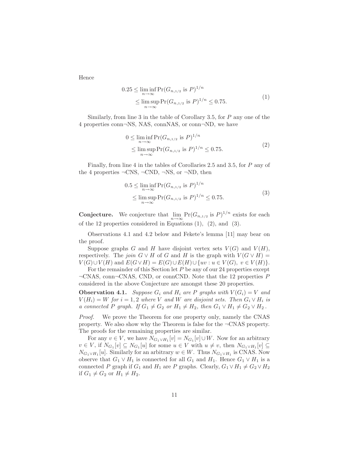Hence

$$
0.25 \le \liminf_{n \to \infty} \Pr(G_{n, 1/2} \text{ is } P)^{1/n}
$$
  
 
$$
\le \limsup_{n \to \infty} \Pr(G_{n, 1/2} \text{ is } P)^{1/n} \le 0.75.
$$
 (1)

Similarly, from line 3 in the table of Corollary 3.5, for *P* any one of the 4 properties conn*¬*NS, NAS, connNAS, or conn*¬*ND, we have

$$
0 \le \liminf_{n \to \infty} \Pr(G_{n, 1/2} \text{ is } P)^{1/n}
$$
  
\$\le \limsup\_{n \to \infty} \Pr(G\_{n, 1/2} \text{ is } P)^{1/n} \le 0.75\$. (2)

Finally, from line 4 in the tables of Corollaries 2.5 and 3.5, for *P* any of the 4 properties *¬*CNS, *¬*CND, *¬*NS, or *¬*ND, then

$$
0.5 \le \liminf_{n \to \infty} \Pr(G_{n, 1/2} \text{ is } P)^{1/n}
$$
  
 
$$
\le \limsup_{n \to \infty} \Pr(G_{n, 1/2} \text{ is } P)^{1/n} \le 0.75.
$$
 (3)

**Conjecture.** We conjecture that  $\lim_{n\to\infty} \Pr(G_{n,1/2} \text{ is } P)^{1/n}$  exists for each of the 12 properties considered in Equations (1), (2), and (3).

Observations 4.1 and 4.2 below and Fekete's lemma [11] may bear on the proof.

Suppose graphs *G* and *H* have disjoint vertex sets  $V(G)$  and  $V(H)$ , respectively. The *join*  $G \vee H$  of  $G$  and  $H$  is the graph with  $V(G \vee H) =$  $V(G) \cup V(H)$  and  $E(G \vee H) = E(G) \cup E(H) \cup \{uv : u \in V(G), v \in V(H)\}.$ 

For the remainder of this Section let *P* be any of our 24 properties except *¬*CNAS, conn*¬*CNAS, CND, or connCND. Note that the 12 properties *P* considered in the above Conjecture are amongst these 20 properties.

**Observation 4.1.** *Suppose*  $G_i$  *and*  $H_i$  *are*  $P$  *graphs with*  $V(G_i) = V$  *and*  $V(H_i) = W$  *for*  $i = 1, 2$  *where V and W are disjoint sets. Then*  $G_i \vee H_i$  *is a connected P graph.* If  $G_1 \neq G_2$  *or*  $H_1 \neq H_2$ *, then*  $G_1 \vee H_1 \neq G_2 \vee H_2$ *.* 

*Proof.* We prove the Theorem for one property only, namely the CNAS property. We also show why the Theorem is false for the *¬*CNAS property. The proofs for the remaining properties are similar.

For any  $v \in V$ , we have  $N_{G_1 \vee H_1}[v] = N_{G_1}[v] \cup W$ . Now for an arbitrary  $v \in V$ , if  $N_{G_1}[v] \subseteq N_{G_1}[u]$  for some  $u \in V$  with  $u \neq v$ , then  $N_{G_1 \vee H_1}[v] \subseteq$  $N_{G_1} \vee H_1[u]$ . Similarly for an arbitrary  $w \in W$ . Thus  $N_{G_1} \vee H_1$  is CNAS. Now observe that  $G_1 \vee H_1$  is connected for all  $G_1$  and  $H_1$ . Hence  $G_1 \vee H_1$  is a connected *P* graph if  $G_1$  and  $H_1$  are *P* graphs. Clearly,  $G_1 \vee H_1 \neq G_2 \vee H_2$ if  $G_1 \neq G_2$  or  $H_1 \neq H_2$ .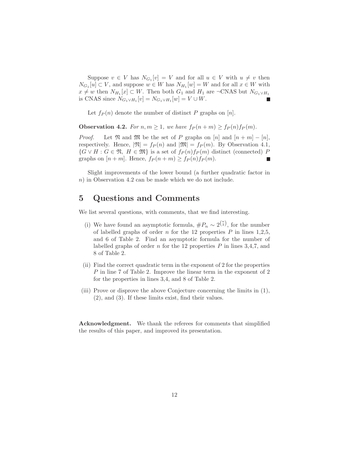Suppose  $v \in V$  has  $N_{G_1}[v] = V$  and for all  $u \in V$  with  $u \neq v$  then  $N_{G_1}[u] \subset V$ , and suppose  $w \in W$  has  $N_{H_1}[w] = W$  and for all  $x \in W$  with  $x \neq w$  then  $N_{H_1}[x] \subset W$ . Then both  $G_1$  and  $H_1$  are  $\neg$ CNAS but  $N_{G_1 \vee H_1}$ is CNAS since  $N_{G_1 \vee H_1}[v] = N_{G_1 \vee H_1}[w] = V \cup W$ .

Let  $f_P(n)$  denote the number of distinct *P* graphs on [*n*].

**Observation 4.2.** For  $n, m \geq 1$ , we have  $f_P(n+m) \geq f_P(n) f_P(m)$ .

*Proof.* Let  $\mathfrak{N}$  and  $\mathfrak{M}$  be the set of *P* graphs on  $[n]$  and  $[n+m]-[n]$ , respectively. Hence,  $|\mathfrak{N}| = f_P(n)$  and  $|\mathfrak{M}| = f_P(m)$ . By Observation 4.1, *{G*  $∨$  *H* : *G*  $∈$   $\mathfrak{N}$ *, H*  $∈$   $\mathfrak{M}$ *}* is a set of  $f_P(n)f_P(m)$  distinct (connected) *P* graphs on  $[n+m]$ . Hence,  $f_P(n+m) \geq f_P(n)f_P(m)$ .

Slight improvements of the lower bound (a further quadratic factor in *n*) in Observation 4.2 can be made which we do not include.

#### **5 Questions and Comments**

We list several questions, with comments, that we find interesting.

- (i) We have found an asymptotic formula,  $\#P_n \sim 2^{\binom{n}{2}}$ , for the number of labelled graphs of order  $n$  for the 12 properties  $P$  in lines 1,2,5, and 6 of Table 2. Find an asymptotic formula for the number of labelled graphs of order *n* for the 12 properties *P* in lines 3,4,7, and 8 of Table 2.
- (ii) Find the correct quadratic term in the exponent of 2 for the properties *P* in line 7 of Table 2. Improve the linear term in the exponent of 2 for the properties in lines 3,4, and 8 of Table 2.
- (iii) Prove or disprove the above Conjecture concerning the limits in (1), (2), and (3). If these limits exist, find their values.

**Acknowledgment.** We thank the referees for comments that simplified the results of this paper, and improved its presentation.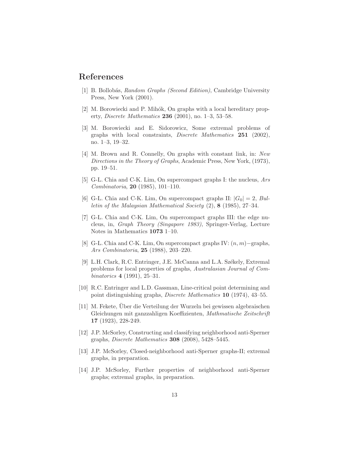#### **References**

- [1] B. Bollob´as, *Random Graphs (Second Edition)*, Cambridge University Press, New York (2001).
- [2] M. Borowiecki and P. Mihók, On graphs with a local hereditary property, *Discrete Mathematics* **236** (2001), no. 1–3, 53–58.
- [3] M. Borowiecki and E. Sidorowicz, Some extremal problems of graphs with local constraints, *Discrete Mathematics* **251** (2002), no. 1–3, 19–32.
- [4] M. Brown and R. Connelly, On graphs with constant link, in: *New Directions in the Theory of Graphs*, Academic Press, New York, (1973), pp. 19–51.
- [5] G-L. Chia and C-K. Lim, On supercompact graphs I: the nucleus, *Ars Combinatoria*, **20** (1985), 101–110.
- [6] G-L. Chia and C-K. Lim, On supercompact graphs II:  $|G_0| = 2$ , *Bulletin of the Malaysian Mathematical Society* (2), **8** (1985), 27–34.
- [7] G-L. Chia and C-K. Lim, On supercompact graphs III: the edge nucleus, in, *Graph Theory (Singapore 1983)*, Springer-Verlag, Lecture Notes in Mathematics **1073** 1–10.
- [8] G-L. Chia and C-K. Lim, On supercompact graphs IV: (*n, m*)*−*graphs, *Ars Combinatoria*, **25** (1988), 203–220.
- [9] L.H. Clark, R.C. Entringer, J.E. McCanna and L.A. Székely, Extremal problems for local properties of graphs, *Australasian Journal of Combinatorics* **4** (1991), 25–31.
- [10] R.C. Entringer and L.D. Gassman, Line-critical point determining and point distinguishing graphs, *Discrete Mathematics* **10** (1974), 43–55.
- [11] M. Fekete, Über die Verteilung der Wurzeln bei gewissen algebraischen Gleichungen mit ganzzahligen Koeffizienten, *Mathmatische Zeitschrift* **17** (1923), 228-249.
- [12] J.P. McSorley, Constructing and classifying neighborhood anti-Sperner graphs, *Discrete Mathematics* **308** (2008), 5428–5445.
- [13] J.P. McSorley, Closed-neighborhood anti-Sperner graphs-II; extremal graphs, in preparation.
- [14] J.P. McSorley, Further properties of neighborhood anti-Sperner graphs; extremal graphs, in preparation.